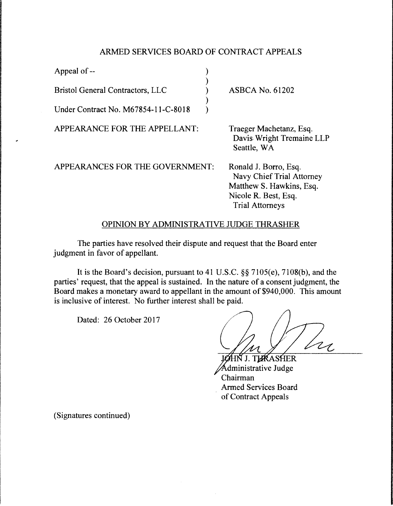## ARMED SERVICES BOARD OF CONTRACT APPEALS

| Appeal of --                            |                                                                                                                                  |
|-----------------------------------------|----------------------------------------------------------------------------------------------------------------------------------|
| <b>Bristol General Contractors, LLC</b> | <b>ASBCA No. 61202</b>                                                                                                           |
| Under Contract No. M67854-11-C-8018     |                                                                                                                                  |
| APPEARANCE FOR THE APPELLANT:           | Traeger Machetanz, Esq.<br>Davis Wright Tremaine LLP<br>Seattle, WA                                                              |
| APPEARANCES FOR THE GOVERNMENT:         | Ronald J. Borro, Esq.<br>Navy Chief Trial Attorney<br>Matthew S. Hawkins, Esq.<br>Nicole R. Best, Esq.<br><b>Trial Attorneys</b> |

## OPINION BY ADMINISTRATIVE JUDGE THRASHER

The parties have resolved their dispute and request that the Board enter judgment in favor of appellant.

It is the Board's decision, pursuant to 41 U.S.C. §§ 7105(e), 7108(b), and the parties' request, that the appeal is sustained. In the nature of a consent judgment, the Board makes a monetary award to appellant in the amount of \$940,000. This amount is inclusive of interest. No further interest shall be paid.

Dated: 26 October 2017

JØHN J. THRASHER dministrative Judge Chairman Armed Services Board of Contract Appeals

(Signatures continued)